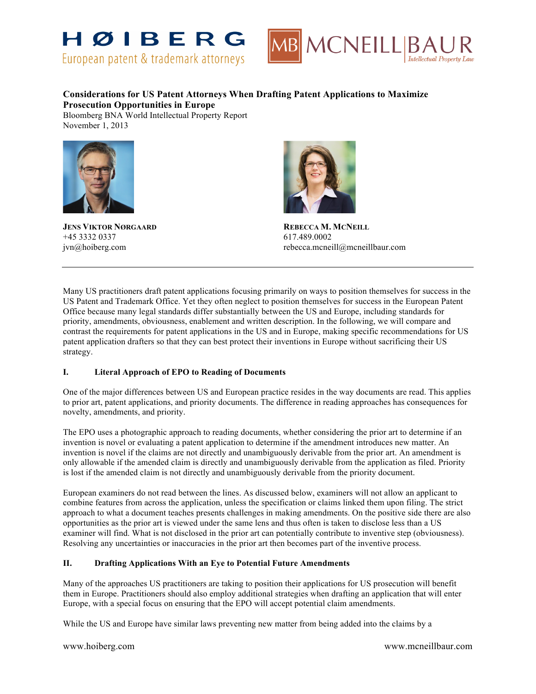



# **Considerations for US Patent Attorneys When Drafting Patent Applications to Maximize Prosecution Opportunities in Europe**

Bloomberg BNA World Intellectual Property Report November 1, 2013



**JENS VIKTOR NØRGAARD REBECCA M. MCNEILL** +45 3332 0337 617.489.0002



jvn@hoiberg.com rebecca.mcneill@mcneillbaur.com

Many US practitioners draft patent applications focusing primarily on ways to position themselves for success in the US Patent and Trademark Office. Yet they often neglect to position themselves for success in the European Patent Office because many legal standards differ substantially between the US and Europe, including standards for priority, amendments, obviousness, enablement and written description. In the following, we will compare and contrast the requirements for patent applications in the US and in Europe, making specific recommendations for US patent application drafters so that they can best protect their inventions in Europe without sacrificing their US strategy.

# **I. Literal Approach of EPO to Reading of Documents**

One of the major differences between US and European practice resides in the way documents are read. This applies to prior art, patent applications, and priority documents. The difference in reading approaches has consequences for novelty, amendments, and priority.

The EPO uses a photographic approach to reading documents, whether considering the prior art to determine if an invention is novel or evaluating a patent application to determine if the amendment introduces new matter. An invention is novel if the claims are not directly and unambiguously derivable from the prior art. An amendment is only allowable if the amended claim is directly and unambiguously derivable from the application as filed. Priority is lost if the amended claim is not directly and unambiguously derivable from the priority document.

European examiners do not read between the lines. As discussed below, examiners will not allow an applicant to combine features from across the application, unless the specification or claims linked them upon filing. The strict approach to what a document teaches presents challenges in making amendments. On the positive side there are also opportunities as the prior art is viewed under the same lens and thus often is taken to disclose less than a US examiner will find. What is not disclosed in the prior art can potentially contribute to inventive step (obviousness). Resolving any uncertainties or inaccuracies in the prior art then becomes part of the inventive process.

# **II. Drafting Applications With an Eye to Potential Future Amendments**

Many of the approaches US practitioners are taking to position their applications for US prosecution will benefit them in Europe. Practitioners should also employ additional strategies when drafting an application that will enter Europe, with a special focus on ensuring that the EPO will accept potential claim amendments.

While the US and Europe have similar laws preventing new matter from being added into the claims by a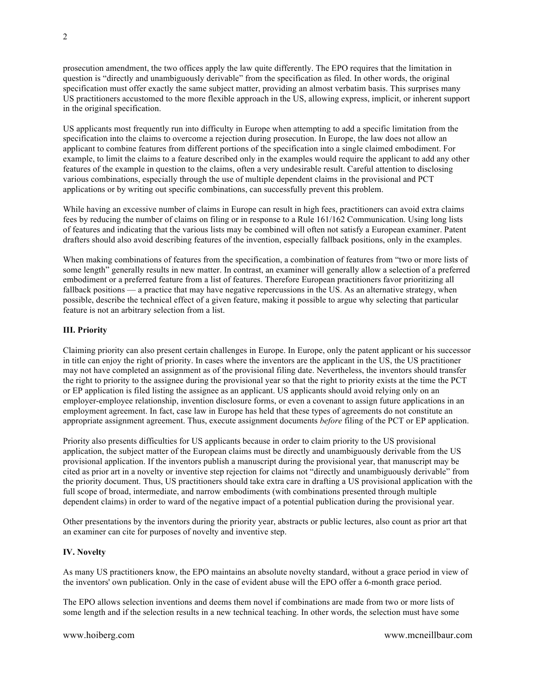prosecution amendment, the two offices apply the law quite differently. The EPO requires that the limitation in question is "directly and unambiguously derivable" from the specification as filed. In other words, the original specification must offer exactly the same subject matter, providing an almost verbatim basis. This surprises many US practitioners accustomed to the more flexible approach in the US, allowing express, implicit, or inherent support in the original specification.

US applicants most frequently run into difficulty in Europe when attempting to add a specific limitation from the specification into the claims to overcome a rejection during prosecution. In Europe, the law does not allow an applicant to combine features from different portions of the specification into a single claimed embodiment. For example, to limit the claims to a feature described only in the examples would require the applicant to add any other features of the example in question to the claims, often a very undesirable result. Careful attention to disclosing various combinations, especially through the use of multiple dependent claims in the provisional and PCT applications or by writing out specific combinations, can successfully prevent this problem.

While having an excessive number of claims in Europe can result in high fees, practitioners can avoid extra claims fees by reducing the number of claims on filing or in response to a Rule 161/162 Communication. Using long lists of features and indicating that the various lists may be combined will often not satisfy a European examiner. Patent drafters should also avoid describing features of the invention, especially fallback positions, only in the examples.

When making combinations of features from the specification, a combination of features from "two or more lists of some length" generally results in new matter. In contrast, an examiner will generally allow a selection of a preferred embodiment or a preferred feature from a list of features. Therefore European practitioners favor prioritizing all fallback positions — a practice that may have negative repercussions in the US. As an alternative strategy, when possible, describe the technical effect of a given feature, making it possible to argue why selecting that particular feature is not an arbitrary selection from a list.

# **III. Priority**

Claiming priority can also present certain challenges in Europe. In Europe, only the patent applicant or his successor in title can enjoy the right of priority. In cases where the inventors are the applicant in the US, the US practitioner may not have completed an assignment as of the provisional filing date. Nevertheless, the inventors should transfer the right to priority to the assignee during the provisional year so that the right to priority exists at the time the PCT or EP application is filed listing the assignee as an applicant. US applicants should avoid relying only on an employer-employee relationship, invention disclosure forms, or even a covenant to assign future applications in an employment agreement. In fact, case law in Europe has held that these types of agreements do not constitute an appropriate assignment agreement. Thus, execute assignment documents *before* filing of the PCT or EP application.

Priority also presents difficulties for US applicants because in order to claim priority to the US provisional application, the subject matter of the European claims must be directly and unambiguously derivable from the US provisional application. If the inventors publish a manuscript during the provisional year, that manuscript may be cited as prior art in a novelty or inventive step rejection for claims not "directly and unambiguously derivable" from the priority document. Thus, US practitioners should take extra care in drafting a US provisional application with the full scope of broad, intermediate, and narrow embodiments (with combinations presented through multiple dependent claims) in order to ward of the negative impact of a potential publication during the provisional year.

Other presentations by the inventors during the priority year, abstracts or public lectures, also count as prior art that an examiner can cite for purposes of novelty and inventive step.

### **IV. Novelty**

As many US practitioners know, the EPO maintains an absolute novelty standard, without a grace period in view of the inventors' own publication. Only in the case of evident abuse will the EPO offer a 6-month grace period.

The EPO allows selection inventions and deems them novel if combinations are made from two or more lists of some length and if the selection results in a new technical teaching. In other words, the selection must have some

www.hoiberg.com www.mcneillbaur.com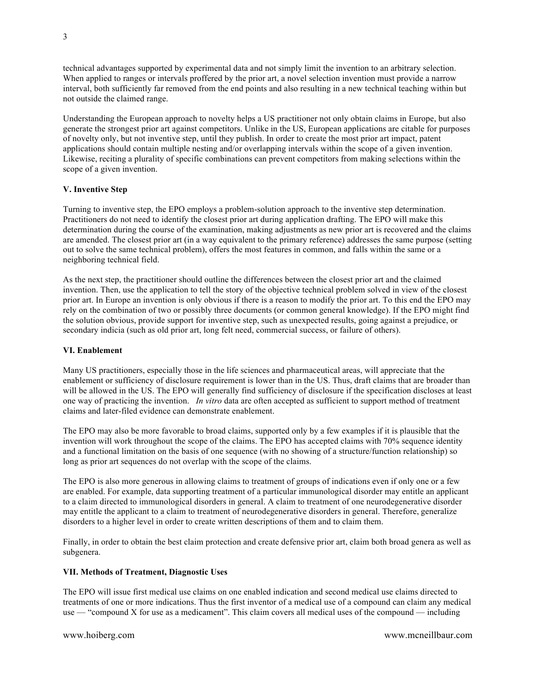technical advantages supported by experimental data and not simply limit the invention to an arbitrary selection. When applied to ranges or intervals proffered by the prior art, a novel selection invention must provide a narrow interval, both sufficiently far removed from the end points and also resulting in a new technical teaching within but not outside the claimed range.

Understanding the European approach to novelty helps a US practitioner not only obtain claims in Europe, but also generate the strongest prior art against competitors. Unlike in the US, European applications are citable for purposes of novelty only, but not inventive step, until they publish. In order to create the most prior art impact, patent applications should contain multiple nesting and/or overlapping intervals within the scope of a given invention. Likewise, reciting a plurality of specific combinations can prevent competitors from making selections within the scope of a given invention.

# **V. Inventive Step**

Turning to inventive step, the EPO employs a problem-solution approach to the inventive step determination. Practitioners do not need to identify the closest prior art during application drafting. The EPO will make this determination during the course of the examination, making adjustments as new prior art is recovered and the claims are amended. The closest prior art (in a way equivalent to the primary reference) addresses the same purpose (setting out to solve the same technical problem), offers the most features in common, and falls within the same or a neighboring technical field.

As the next step, the practitioner should outline the differences between the closest prior art and the claimed invention. Then, use the application to tell the story of the objective technical problem solved in view of the closest prior art. In Europe an invention is only obvious if there is a reason to modify the prior art. To this end the EPO may rely on the combination of two or possibly three documents (or common general knowledge). If the EPO might find the solution obvious, provide support for inventive step, such as unexpected results, going against a prejudice, or secondary indicia (such as old prior art, long felt need, commercial success, or failure of others).

#### **VI. Enablement**

Many US practitioners, especially those in the life sciences and pharmaceutical areas, will appreciate that the enablement or sufficiency of disclosure requirement is lower than in the US. Thus, draft claims that are broader than will be allowed in the US. The EPO will generally find sufficiency of disclosure if the specification discloses at least one way of practicing the invention. *In vitro* data are often accepted as sufficient to support method of treatment claims and later-filed evidence can demonstrate enablement.

The EPO may also be more favorable to broad claims, supported only by a few examples if it is plausible that the invention will work throughout the scope of the claims. The EPO has accepted claims with 70% sequence identity and a functional limitation on the basis of one sequence (with no showing of a structure/function relationship) so long as prior art sequences do not overlap with the scope of the claims.

The EPO is also more generous in allowing claims to treatment of groups of indications even if only one or a few are enabled. For example, data supporting treatment of a particular immunological disorder may entitle an applicant to a claim directed to immunological disorders in general. A claim to treatment of one neurodegenerative disorder may entitle the applicant to a claim to treatment of neurodegenerative disorders in general. Therefore, generalize disorders to a higher level in order to create written descriptions of them and to claim them.

Finally, in order to obtain the best claim protection and create defensive prior art, claim both broad genera as well as subgenera.

#### **VII. Methods of Treatment, Diagnostic Uses**

The EPO will issue first medical use claims on one enabled indication and second medical use claims directed to treatments of one or more indications. Thus the first inventor of a medical use of a compound can claim any medical use — "compound X for use as a medicament". This claim covers all medical uses of the compound — including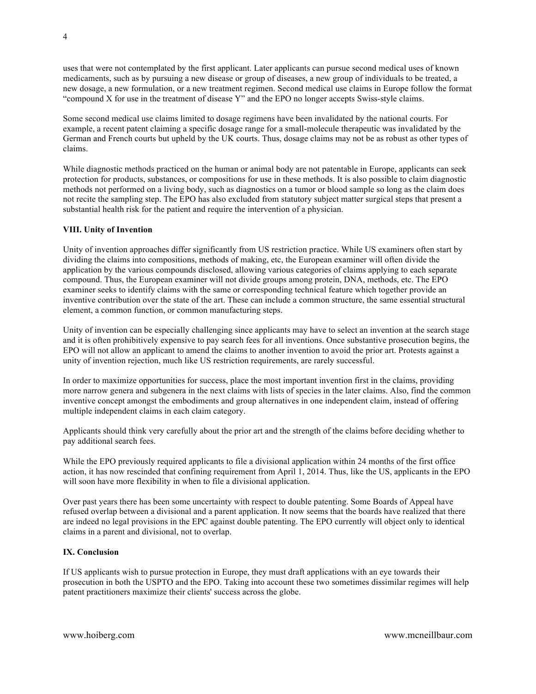uses that were not contemplated by the first applicant. Later applicants can pursue second medical uses of known medicaments, such as by pursuing a new disease or group of diseases, a new group of individuals to be treated, a new dosage, a new formulation, or a new treatment regimen. Second medical use claims in Europe follow the format "compound X for use in the treatment of disease Y" and the EPO no longer accepts Swiss-style claims.

Some second medical use claims limited to dosage regimens have been invalidated by the national courts. For example, a recent patent claiming a specific dosage range for a small-molecule therapeutic was invalidated by the German and French courts but upheld by the UK courts. Thus, dosage claims may not be as robust as other types of claims.

While diagnostic methods practiced on the human or animal body are not patentable in Europe, applicants can seek protection for products, substances, or compositions for use in these methods. It is also possible to claim diagnostic methods not performed on a living body, such as diagnostics on a tumor or blood sample so long as the claim does not recite the sampling step. The EPO has also excluded from statutory subject matter surgical steps that present a substantial health risk for the patient and require the intervention of a physician.

### **VIII. Unity of Invention**

Unity of invention approaches differ significantly from US restriction practice. While US examiners often start by dividing the claims into compositions, methods of making, etc, the European examiner will often divide the application by the various compounds disclosed, allowing various categories of claims applying to each separate compound. Thus, the European examiner will not divide groups among protein, DNA, methods, etc. The EPO examiner seeks to identify claims with the same or corresponding technical feature which together provide an inventive contribution over the state of the art. These can include a common structure, the same essential structural element, a common function, or common manufacturing steps.

Unity of invention can be especially challenging since applicants may have to select an invention at the search stage and it is often prohibitively expensive to pay search fees for all inventions. Once substantive prosecution begins, the EPO will not allow an applicant to amend the claims to another invention to avoid the prior art. Protests against a unity of invention rejection, much like US restriction requirements, are rarely successful.

In order to maximize opportunities for success, place the most important invention first in the claims, providing more narrow genera and subgenera in the next claims with lists of species in the later claims. Also, find the common inventive concept amongst the embodiments and group alternatives in one independent claim, instead of offering multiple independent claims in each claim category.

Applicants should think very carefully about the prior art and the strength of the claims before deciding whether to pay additional search fees.

While the EPO previously required applicants to file a divisional application within 24 months of the first office action, it has now rescinded that confining requirement from April 1, 2014. Thus, like the US, applicants in the EPO will soon have more flexibility in when to file a divisional application.

Over past years there has been some uncertainty with respect to double patenting. Some Boards of Appeal have refused overlap between a divisional and a parent application. It now seems that the boards have realized that there are indeed no legal provisions in the EPC against double patenting. The EPO currently will object only to identical claims in a parent and divisional, not to overlap.

### **IX. Conclusion**

If US applicants wish to pursue protection in Europe, they must draft applications with an eye towards their prosecution in both the USPTO and the EPO. Taking into account these two sometimes dissimilar regimes will help patent practitioners maximize their clients' success across the globe.